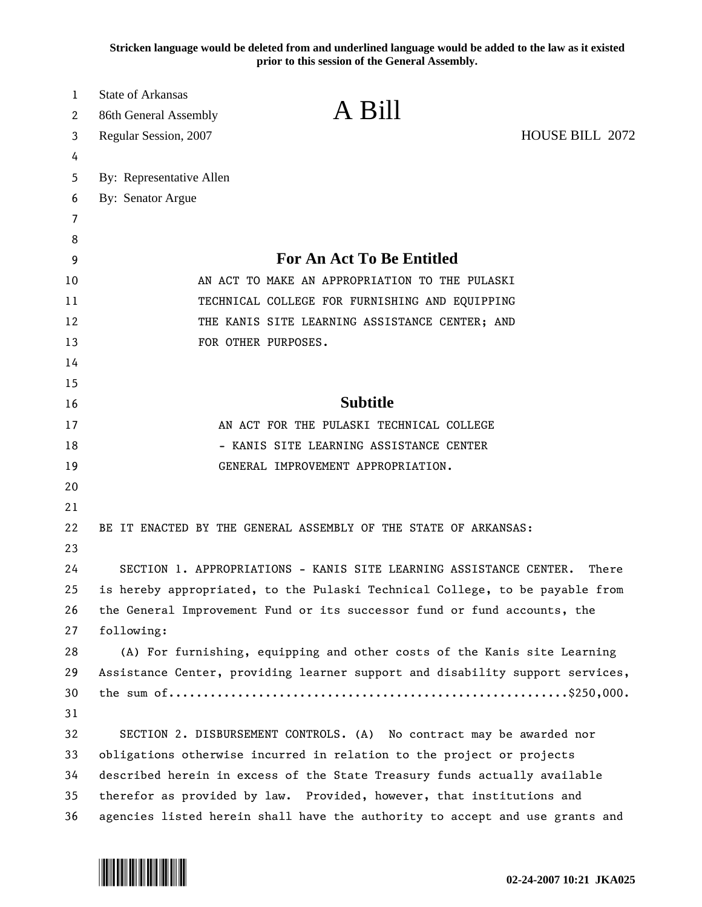**Stricken language would be deleted from and underlined language would be added to the law as it existed prior to this session of the General Assembly.**

| 1  | <b>State of Arkansas</b>                                                      |                 |       |
|----|-------------------------------------------------------------------------------|-----------------|-------|
| 2  | A Bill<br>86th General Assembly                                               |                 |       |
| 3  | Regular Session, 2007                                                         | HOUSE BILL 2072 |       |
| 4  |                                                                               |                 |       |
| 5  | By: Representative Allen                                                      |                 |       |
| 6  | By: Senator Argue                                                             |                 |       |
| 7  |                                                                               |                 |       |
| 8  |                                                                               |                 |       |
| 9  | <b>For An Act To Be Entitled</b>                                              |                 |       |
| 10 | AN ACT TO MAKE AN APPROPRIATION TO THE PULASKI                                |                 |       |
| 11 | TECHNICAL COLLEGE FOR FURNISHING AND EQUIPPING                                |                 |       |
| 12 | THE KANIS SITE LEARNING ASSISTANCE CENTER; AND                                |                 |       |
| 13 | FOR OTHER PURPOSES.                                                           |                 |       |
| 14 |                                                                               |                 |       |
| 15 |                                                                               |                 |       |
| 16 | <b>Subtitle</b>                                                               |                 |       |
| 17 | AN ACT FOR THE PULASKI TECHNICAL COLLEGE                                      |                 |       |
| 18 | - KANIS SITE LEARNING ASSISTANCE CENTER                                       |                 |       |
| 19 | GENERAL IMPROVEMENT APPROPRIATION.                                            |                 |       |
| 20 |                                                                               |                 |       |
| 21 |                                                                               |                 |       |
| 22 | BE IT ENACTED BY THE GENERAL ASSEMBLY OF THE STATE OF ARKANSAS:               |                 |       |
| 23 |                                                                               |                 |       |
| 24 | SECTION 1. APPROPRIATIONS - KANIS SITE LEARNING ASSISTANCE CENTER.            |                 | There |
| 25 | is hereby appropriated, to the Pulaski Technical College, to be payable from  |                 |       |
| 26 | the General Improvement Fund or its successor fund or fund accounts, the      |                 |       |
| 27 | following:                                                                    |                 |       |
| 28 | (A) For furnishing, equipping and other costs of the Kanis site Learning      |                 |       |
| 29 | Assistance Center, providing learner support and disability support services, |                 |       |
| 30 |                                                                               |                 |       |
| 31 |                                                                               |                 |       |
| 32 | SECTION 2. DISBURSEMENT CONTROLS. (A) No contract may be awarded nor          |                 |       |
| 33 | obligations otherwise incurred in relation to the project or projects         |                 |       |
| 34 | described herein in excess of the State Treasury funds actually available     |                 |       |
| 35 | therefor as provided by law. Provided, however, that institutions and         |                 |       |
| 36 | agencies listed herein shall have the authority to accept and use grants and  |                 |       |